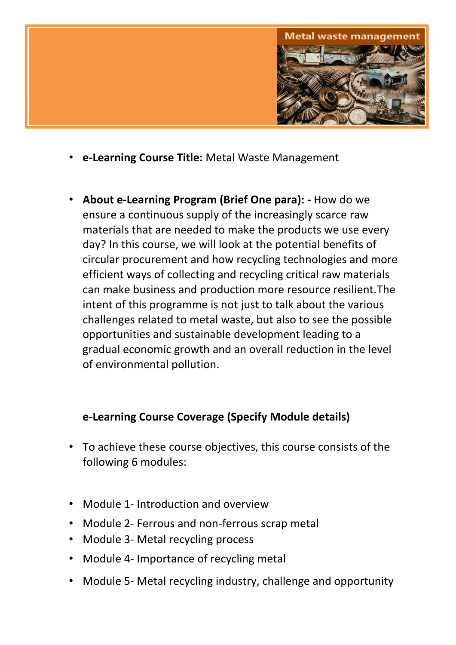

- **e-Learning Course Title:** Metal Waste Management
- **About e-Learning Program (Brief One para): -** How do we ensure a continuous supply of the increasingly scarce raw materials that are needed to make the products we use every day? In this course, we will look at the potential benefits of circular procurement and how recycling technologies and more efficient ways of collecting and recycling critical raw materials can make business and production more resource resilient.The intent of this programme is not just to talk about the various challenges related to metal waste, but also to see the possible opportunities and sustainable development leading to a gradual economic growth and an overall reduction in the level of environmental pollution.

#### **e-Learning Course Coverage (Specify Module details)**

- To achieve these course objectives, this course consists of the following 6 modules:
- Module 1- Introduction and overview
- Module 2- Ferrous and non-ferrous scrap metal
- Module 3- Metal recycling process
- Module 4- Importance of recycling metal
- Module 5- Metal recycling industry, challenge and opportunity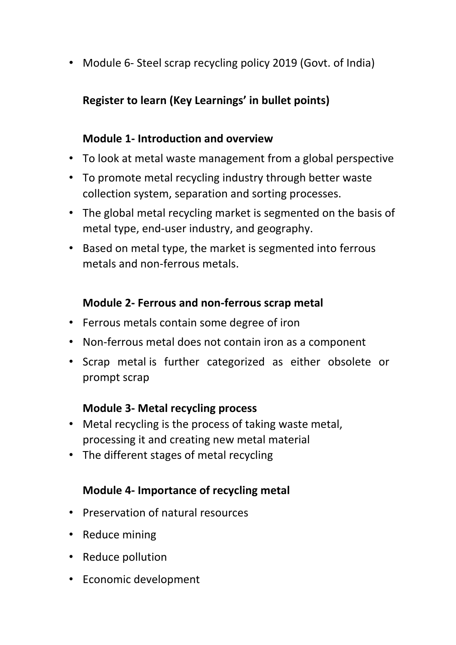• Module 6- Steel scrap recycling policy 2019 (Govt. of India)

# **Register to learn (Key Learnings' in bullet points)**

### **Module 1- Introduction and overview**

- To look at metal waste management from a global perspective
- To promote metal recycling industry through better waste collection system, separation and sorting processes.
- The global metal recycling market is segmented on the basis of metal type, end-user industry, and geography.
- Based on metal type, the market is segmented into ferrous metals and non-ferrous metals.

#### **Module 2- Ferrous and non-ferrous scrap metal**

- Ferrous metals contain some degree of iron
- Non-ferrous metal does not contain iron as a component
- Scrap metal is further categorized as either obsolete or prompt scrap

#### **Module 3- Metal recycling process**

- Metal recycling is the process of taking waste metal, processing it and creating new metal material
- The different stages of metal recycling

## **Module 4- Importance of recycling metal**

- Preservation of natural resources
- Reduce mining
- Reduce pollution
- Economic development